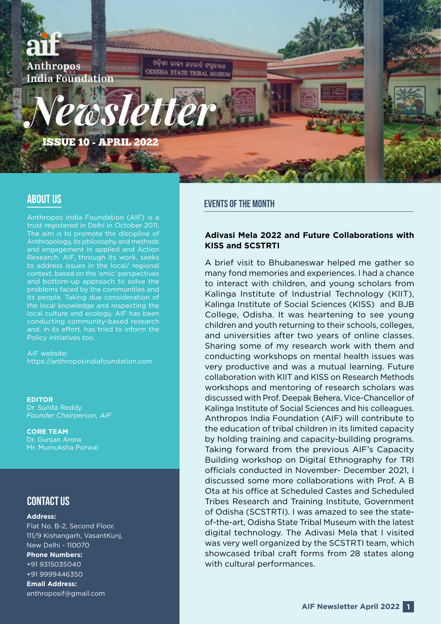

Anthropos India Foundation (AIF) is a trust registered in Delhi in October 2011. The aim is to promote the discipline of Anthropology, its philosophy and methods and engagement in applied and Action Research. AIF, through its work, seeks to address issues in the local/ regional context, based on the 'emic' perspectives and bottom-up approach to solve the problems faced by the communities and its people. Taking due consideration of the local knowledge and respecting the local culture and ecology, AIF has been conducting community-based research and, in its effort, has tried to inform the Policy initiatives too.

AIF website: <https://anthroposindiafoundation.com>

**EDITOR** Dr. Sunita Reddy, *Founder Chairperson, AIF*

**CORE TEAM** Dr. Gunjan Arora Mr. Mumuksha Porwal

### CONTACT US

#### **Address:**

Flat No. B-2, Second Floor, 111/9 Kishangarh, VasantKunj, New Delhi - 110070 **Phone Numbers:** +91 9315035040 +91 9999446350 **Email Address:** anthroposif@gmail.com

## ABOUT US **EVENTS OF THE MONTH**

#### **Adivasi Mela 2022 and Future Collaborations with KISS and SCSTRTI**

A brief visit to Bhubaneswar helped me gather so many fond memories and experiences. I had a chance to interact with children, and young scholars from Kalinga Institute of Industrial Technology (KIIT), Kalinga Institute of Social Sciences (KISS) and BJB College, Odisha. It was heartening to see young children and youth returning to their schools, colleges, and universities after two years of online classes. Sharing some of my research work with them and conducting workshops on mental health issues was very productive and was a mutual learning. Future collaboration with KIIT and KISS on Research Methods workshops and mentoring of research scholars was discussed with Prof. Deepak Behera, Vice-Chancellor of Kalinga Institute of Social Sciences and his colleagues. Anthropos India Foundation (AIF) will contribute to the education of tribal children in its limited capacity by holding training and capacity-building programs. Taking forward from the previous AIF's Capacity Building workshop on Digital Ethnography for TRI officials conducted in November- December 2021, I discussed some more collaborations with Prof. A B Ota at his office at Scheduled Castes and Scheduled Tribes Research and Training Institute, Government of Odisha (SCSTRTI). I was amazed to see the stateof-the-art, Odisha State Tribal Museum with the latest digital technology. The Adivasi Mela that I visited was very well organized by the SCSTRTI team, which showcased tribal craft forms from 28 states along with cultural performances.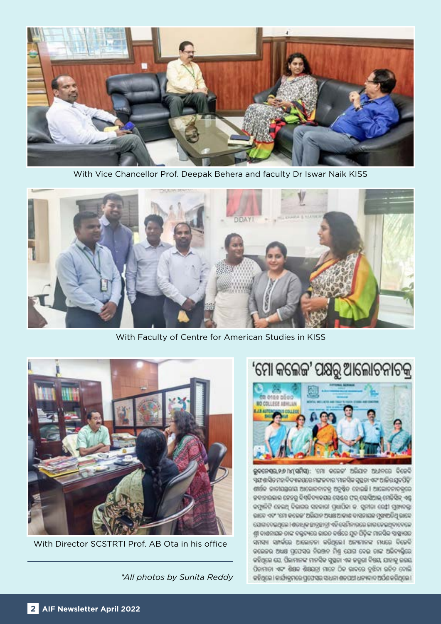

With Vice Chancellor Prof. Deepak Behera and faculty Dr Iswar Naik KISS



With Faculty of Centre for American Studies in KISS



With Director SCSTRTI Prof. AB Ota in his office

*\*All photos by Sunita Reddy*

# 'ମୋ କଲେଜ' ପକ୍ଷରୁ ଆଲୋଚନାଚକ୍ର



ଭୁବନେଷ୍ଟର,୨୬ (୪(ସମିସ୍): 'ମୋ' କଲେଜ' ଅଭିଯାନ ଅଧୀନରେ ବିଜେବି ଏଣ ଶତିକ ମହାବିଦ୍ୟାଳଗରେ ମଙ୍ଗଳବାର 'ମାନସିକ ସୁପ୍ରତା ଏବଂ ଆଜିର ଯୁବପିଢ଼ି' ଶାରିକ କାତୀଯଯୁଗଣ ଆଲୋକନାତକୁ ଅନୁଷ୍ଠିତ ହୋଇଛି । ଆଲୋକନାତକୁରେ ଜବାହାରଲାଲ ନେହରୁ ବିଷ୍ଟିବ୍ୟାକସର ସେଣ୍ଟର ଫର୍ ସୋସିଆଲ୍ ମେଡିସିନ୍ ଏଣ୍ଡ କମ୍ପାଳିଟି ହେଇଥି ବିଭାଗର ସହକାରା ପ୍ରଧାରିକା କ. ସୁନାରା ରେ‡ା ମୁଖ୍ୟବଙ୍କୁ ରାରେ ଏବଂ 'ମୋ କରେଜ' ଅଭିଯାନ ଅଧ୍ୟକ୍ଷ ଆକାଶ ବାସନାୟକ ମୁଖ୍ୟଅତିଥି ଭାବେ ଯୋଗାଦେଇଥିଲେ । ଶତାଧିକ ଛାତ୍ରଛାତ୍ରୀ ଏହି ବୋମିନାରରେ ଜାତାଜେଇଥିବାଦେଳେ ଶ୍ରୀ ଦାଶନାଗଳ ତାଙ୍କ ବଲ୍ଡବ୍ୟରେ ଭାରତ ବର୍ତ୍ତରେ ଯୁଦ୍ଧ ପିଢ଼ିଙ୍କ ମାଳସିକ ସାହାଗତ ସନସ୍ୟା ସମ୍ପର୍କରେ ଆଲୋଚନା କରିଥିଲେ। ଅନ୍ୟମାନଙ୍କ ମଧ୍ୟରେ ବିଜେବି କଲେଜର ଅଧ୍ୟକ୍ଷ ପ୍ରଯେପର ନିରଞ୍ଜନ ମିଶ୍ର ଯୋଗ ଦେଇ ତାଙ୍କ ଅଭିବ୍ୟକ୍ତିରେ କହିଥିଲେ ଯେ, ପିଲାମାନଙ୍କ ମାନସିକ ସୁଷ୍ଟଳା ଏକ ଜରୁରା ବିଷୟ, ଯାହାକୁ ଜଗଣ, ପିତାମାତା ଏବଂ ଶିକ୍ଷକ ଶିକ୍ଷଣତ୍ରା ମାନେ ଠିକ ଜାବରେ ବୁଝିତା ରଚିତ ତୋଲି କହିଥିଲେ । କାର୍ଯ୍ୟକ୍ରମରେ ପ୍ରଫେସର ସାଧନା ଶତପଥୀ ଧନ୍ୟକାଦ ଅର୍ଯଣ କରିଥିଲେ ।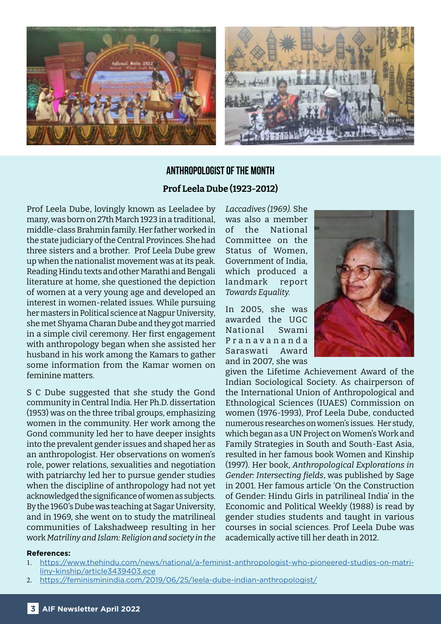

## **ANTHROPOLOGIST OF THE MONTH Prof Leela Dube (1923-2012)**

Prof Leela Dube, lovingly known as Leeladee by many, was born on 27th March 1923 in a traditional, middle-class Brahmin family. Her father worked in the state judiciary of the Central Provinces. She had three sisters and a brother. Prof Leela Dube grew up when the nationalist movement was at its peak. Reading Hindu texts and other Marathi and Bengali literature at home, she questioned the depiction of women at a very young age and developed an interest in women-related issues. While pursuing her masters in Political science at Nagpur University, she met Shyama Charan Dube and they got married in a simple civil ceremony. Her first engagement with anthropology began when she assisted her husband in his work among the Kamars to gather some information from the Kamar women on feminine matters.

S C Dube suggested that she study the Gond community in Central India. Her Ph.D. dissertation (1953) was on the three tribal groups, emphasizing women in the community. Her work among the Gond community led her to have deeper insights into the prevalent gender issues and shaped her as an anthropologist. Her observations on women's role, power relations, sexualities and negotiation with patriarchy led her to pursue gender studies when the discipline of anthropology had not yet acknowledged the significance of women as subjects. By the 1960's Dube was teaching at Sagar University, and in 1969, she went on to study the matrilineal communities of Lakshadweep resulting in her work *Matriliny and Islam: Religion and society in the* 

*Laccadives (1969).* She was also a member of the National Committee on the Status of Women, Government of India, which produced a landmark report *Towards Equality.*

In 2005, she was awarded the UGC National Swami P r a n a v a n a n d a Saraswati Award and in 2007, she was



given the Lifetime Achievement Award of the Indian Sociological Society. As chairperson of the International Union of Anthropological and Ethnological Sciences (IUAES) Commission on women (1976-1993), Prof Leela Dube, conducted numerous researches on women's issues. Her study, which began as a UN Project on Women's Work and Family Strategies in South and South-East Asia, resulted in her famous book Women and Kinship (1997). Her book, *Anthropological Explorations in Gender: Intersecting fields*, was published by Sage in 2001. Her famous article 'On the Construction of Gender: Hindu Girls in patrilineal India' in the Economic and Political Weekly (1988) is read by gender studies students and taught in various courses in social sciences. Prof Leela Dube was academically active till her death in 2012.

#### **References:**

- 1. [https://www.thehindu.com/news/national/a-feminist-anthropologist-who-pioneered-studies-on-matri](https://www.thehindu.com/news/national/a-feminist-anthropologist-who-pioneered-studies-on-matriliny-kinship/article3439403.ece )[liny-kinship/article3439403.ece](https://www.thehindu.com/news/national/a-feminist-anthropologist-who-pioneered-studies-on-matriliny-kinship/article3439403.ece )
- 2. [https://feminisminindia.com/2019/06/25/leela-dube-indian-anthropologist/](https://feminisminindia.com/2019/06/25/leela-dube-indian-anthropologist/ )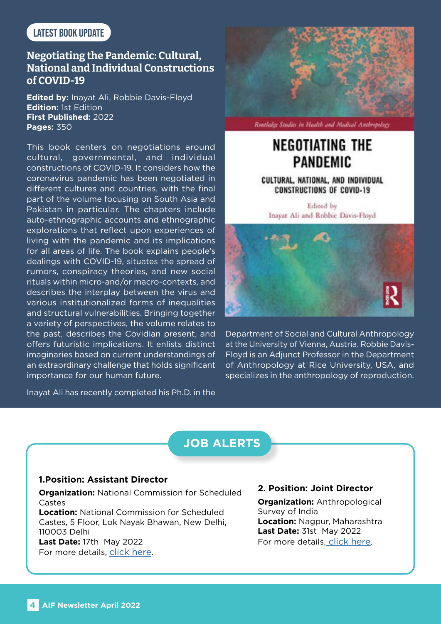### Latest Book Update

### **Negotiating the Pandemic: Cultural, National and Individual Constructions of COVID-19**

**Edited by:** Inayat Ali, Robbie Davis-Floyd **Edition:** 1st Edition **First Published:** 2022 **Pages:** 350

This book centers on negotiations around cultural, governmental, and individual constructions of COVID-19. It considers how the coronavirus pandemic has been negotiated in different cultures and countries, with the final part of the volume focusing on South Asia and Pakistan in particular. The chapters include auto-ethnographic accounts and ethnographic explorations that reflect upon experiences of living with the pandemic and its implications for all areas of life. The book explains people's dealings with COVID-19, situates the spread of rumors, conspiracy theories, and new social rituals within micro-and/or macro-contexts, and describes the interplay between the virus and various institutionalized forms of inequalities and structural vulnerabilities. Bringing together a variety of perspectives, the volume relates to the past, describes the Covidian present, and offers futuristic implications. It enlists distinct imaginaries based on current understandings of an extraordinary challenge that holds significant importance for our human future.

Inayat Ali has recently completed his Ph.D. in the



Rootlalge Studies in Hadth and Madical Anthropology

## **NEGOTIATING THE PANDEMIC**

CULTURAL, NATIONAL, AND INDIVIDUAL **CONSTRUCTIONS OF COVID-19** 

Edited by Inayat Ali and Robbie Davis-Floyd



Department of Social and Cultural Anthropology at the University of Vienna, Austria. Robbie Davis-Floyd is an Adjunct Professor in the Department of Anthropology at Rice University, USA, and specializes in the anthropology of reproduction.

## **JOB ALERTS**

### **1.Position: Assistant Director**

**Organization:** National Commission for Scheduled Castes **Location:** National Commission for Scheduled Castes, 5 Floor, Lok Nayak Bhawan, New Delhi, 110003 Delhi **Last Date:** 17th May 2022

For more details, [click here](https://www.mysarkarinaukri.com/find/national-commission-scheduled-castes-jobs/110975/).

**2. Position: Joint Director**

**Organization:** Anthropological Survey of India **Location: Nagpur, Maharashtra Last Date:** 31st May 2022 For more details[, click here](https://alert.exampathfinder.com/en/event/view/WtYumvCh-Joint-Director-Post-in-Anthropological-Survey-of-India-via-Deputation).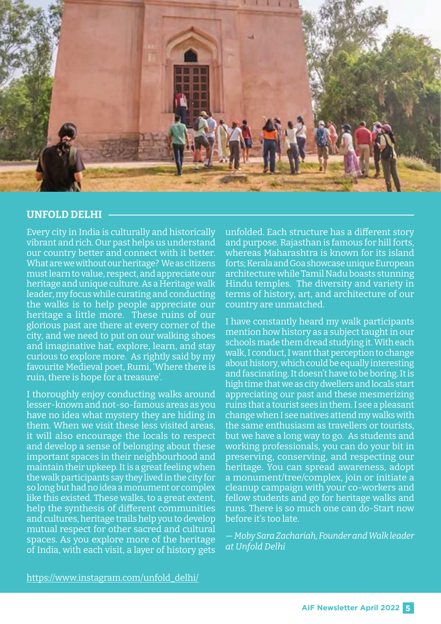

### **UNFOLD DELHI**

Every city in India is culturally and historically vibrant and rich. Our past helps us understand our country better and connect with it better. What are we without our heritage? We as citizens must learn to value, respect, and appreciate our heritage and unique culture. As a Heritage walk leader, my focus while curating and conducting the walks is to help people appreciate our heritage a little more. These ruins of our glorious past are there at every corner of the city, and we need to put on our walking shoes and imaginative hat, explore, learn, and stay curious to explore more. As rightly said by my favourite Medieval poet, Rumi, 'Where there is ruin, there is hope for a treasure'.

I thoroughly enjoy conducting walks around lesser-known and not-so-famous areas as you have no idea what mystery they are hiding in them. When we visit these less visited areas, it will also encourage the locals to respect and develop a sense of belonging about these important spaces in their neighbourhood and maintain their upkeep. It is a great feeling when the walk participants say they lived in the city for so long but had no idea a monument or complex like this existed. These walks, to a great extent, help the synthesis of different communities and cultures, heritage trails help you to develop mutual respect for other sacred and cultural spaces. As you explore more of the heritage of India, with each visit, a layer of history gets

unfolded. Each structure has a different story and purpose. Rajasthan is famous for hill forts, whereas Maharashtra is known for its island forts; Kerala and Goa showcase unique European architecture while Tamil Nadu boasts stunning Hindu temples. The diversity and variety in terms of history, art, and architecture of our country are unmatched.

I have constantly heard my walk participants mention how history as a subject taught in our schools made them dread studying it. With each walk, I conduct, I want that perception to change about history, which could be equally interesting and fascinating. It doesn't have to be boring. It is high time that we as city dwellers and locals start appreciating our past and these mesmerizing ruins that a tourist sees in them. I see a pleasant change when I see natives attend my walks with the same enthusiasm as travellers or tourists, but we have a long way to go. As students and working professionals, you can do your bit in preserving, conserving, and respecting our heritage. You can spread awareness, adopt a monument/tree/complex, join or initiate a cleanup campaign with your co-workers and fellow students and go for heritage walks and runs. There is so much one can do-Start now before it's too late.

— *Moby Sara Zachariah, Founder and Walk leader at Unfold Delhi*